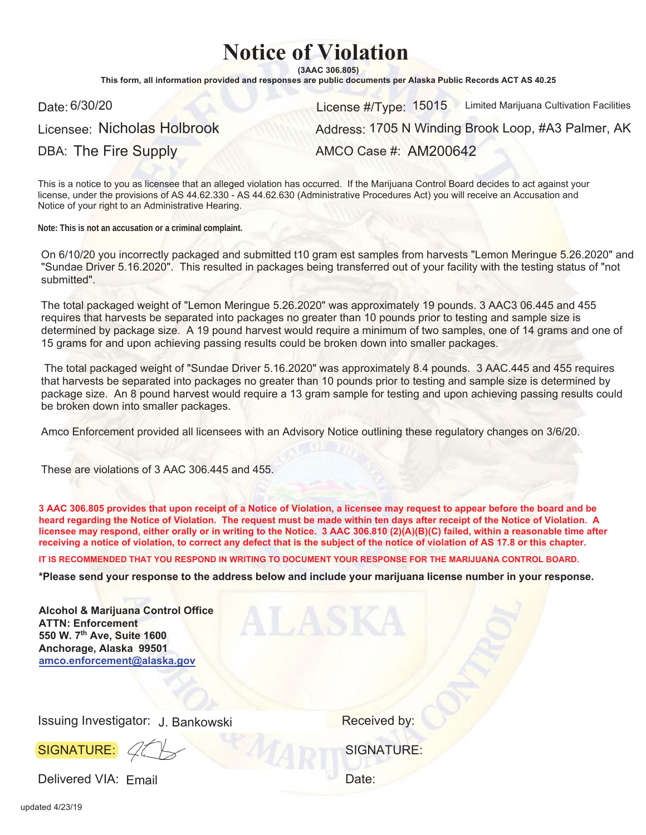## **Notice of Violation**

 $(3AAC306.805)$ 

This form, all information provided and responses are public documents per Alaska Public Records ACT AS 40.25

Licensee: Nicholas Holbrook

DBA: The Fire Supply

Date: 6/30/20 **License #/Type: 15015** Limited Marijuana Cultivation Facilities Address: 1705 N Winding Brook Loop, #A3 Palmer, AK

AMCO Case #: AM200642

This is a notice to you as licensee that an alleged violation has occurred. If the Marijuana Control Board decides to act against your license, under the provisions of AS 44.62.330 - AS 44.62.630 (Administrative Procedures Act) you will receive an Accusation and Notice of your right to an Administrative Hearing.

**Note: This is not an accusation or a criminal complaint.**

On 6/10/20 you incorrectly packaged and submitted t10 gram est samples from harvests "Lemon Meringue 5.26.2020" and "Sundae Driver 5.16.2020". This resulted in packages being transferred out of your facility with the testing status of "not submitted".

The total packaged weight of "Lemon Meringue 5.26.2020" was approximately 19 pounds. 3 AAC3 06.445 and 455 requires that harvests be separated into packages no greater than 10 pounds prior to testing and sample size is determined by package size. A 19 pound harvest would require a minimum of two samples, one of 14 grams and one of 15 grams for and upon achieving passing results could be broken down into smaller packages.

 The total packaged weight of "Sundae Driver 5.16.2020" was approximately 8.4 pounds. 3 AAC.445 and 455 requires that harvests be separated into packages no greater than 10 pounds prior to testing and sample size is determined by package size. An 8 pound harvest would require a 13 gram sample for testing and upon achieving passing results could be broken down into smaller packages.

Amco Enforcement provided all licensees with an Advisory Notice outlining these regulatory changes on 3/6/20.

These are violations of 3 AAC 306.445 and 455.

3 AAC 306.805 provides that upon receipt of a Notice of Violation, a licensee may request to appear before the board and be heard regarding the Notice of Violation. The request must be made within ten days after receipt of the Notice of Violation. A licensee may respond, either orally or in writing to the Notice. 3 AAC 306.810 (2)(A)(B)(C) failed, within a reasonable time after receiving a notice of violation, to correct any defect that is the subject of the notice of violation of AS 17.8 or this chapter.

IT IS RECOMMENDED THAT YOU RESPOND IN WRITING TO DOCUMENT YOUR RESPONSE FOR THE MARIJUANA CONTROL BOARD.

\*Please send your response to the address below and include your marijuana license number in your response.

| <b>Alcohol &amp; Marijuana Control Office</b><br><b>ATTN: Enforcement</b><br>550 W. 7th Ave, Suite 1600<br>Anchorage, Alaska 99501<br>amco.enforcement@alaska.gov |                   |
|-------------------------------------------------------------------------------------------------------------------------------------------------------------------|-------------------|
| Issuing Investigator: J. Bankowski                                                                                                                                | Received by:      |
| SIGNATURE: 4                                                                                                                                                      | <b>SIGNATURE:</b> |
| Delivered VIA: Email                                                                                                                                              | Date:             |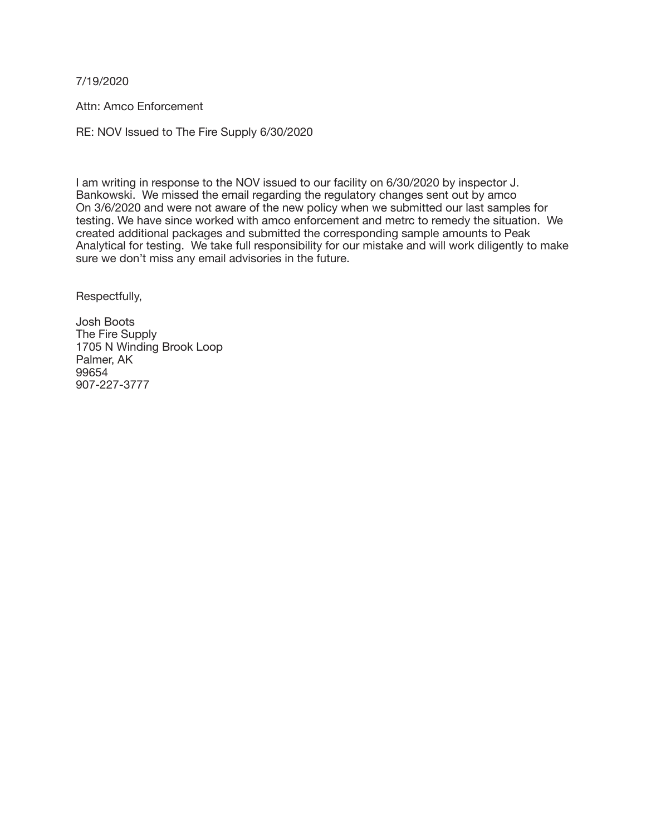7/19/2020

Attn: Amco Enforcement 

RE: NOV Issued to The Fire Supply 6/30/2020

I am writing in response to the NOV issued to our facility on 6/30/2020 by inspector J. Bankowski. We missed the email regarding the regulatory changes sent out by amco On 3/6/2020 and were not aware of the new policy when we submitted our last samples for testing. We have since worked with amco enforcement and metrc to remedy the situation. We created additional packages and submitted the corresponding sample amounts to Peak Analytical for testing. We take full responsibility for our mistake and will work diligently to make sure we don't miss any email advisories in the future.

Respectfully,

Josh Boots The Fire Supply 1705 N Winding Brook Loop Palmer, AK 99654 907-227-3777